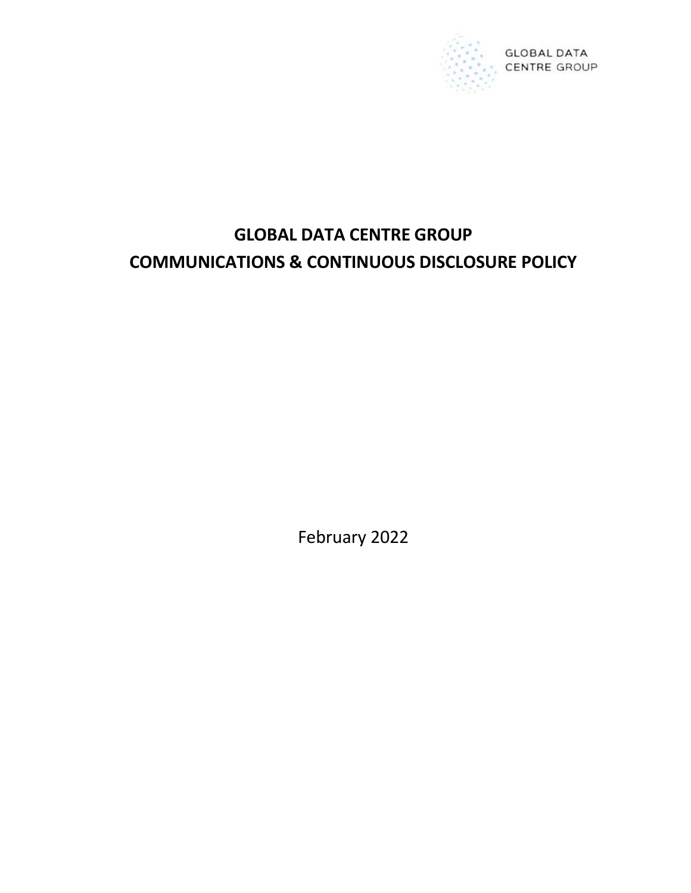

# GLOBAL DATA CENTRE GROUP COMMUNICATIONS & CONTINUOUS DISCLOSURE POLICY

February 2022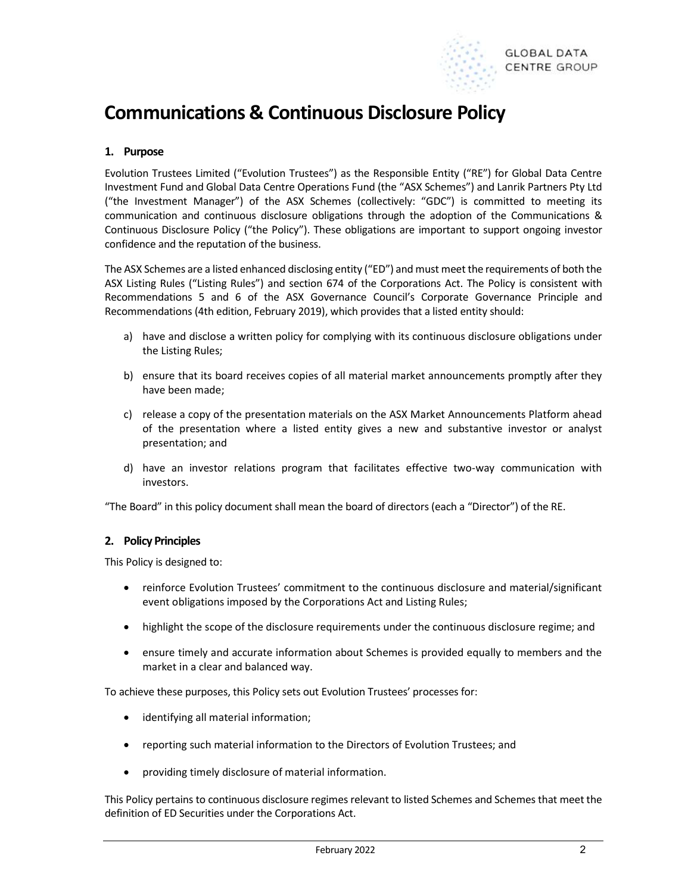

# Communications & Continuous Disclosure Policy

# 1. Purpose

Evolution Trustees Limited ("Evolution Trustees") as the Responsible Entity ("RE") for Global Data Centre Investment Fund and Global Data Centre Operations Fund (the "ASX Schemes") and Lanrik Partners Pty Ltd ("the Investment Manager") of the ASX Schemes (collectively: "GDC") is committed to meeting its communication and continuous disclosure obligations through the adoption of the Communications & Continuous Disclosure Policy ("the Policy"). These obligations are important to support ongoing investor confidence and the reputation of the business.

The ASX Schemes are a listed enhanced disclosing entity ("ED") and must meet the requirements of both the ASX Listing Rules ("Listing Rules") and section 674 of the Corporations Act. The Policy is consistent with Recommendations 5 and 6 of the ASX Governance Council's Corporate Governance Principle and Recommendations (4th edition, February 2019), which provides that a listed entity should:

- a) have and disclose a written policy for complying with its continuous disclosure obligations under the Listing Rules;
- b) ensure that its board receives copies of all material market announcements promptly after they have been made;
- c) release a copy of the presentation materials on the ASX Market Announcements Platform ahead of the presentation where a listed entity gives a new and substantive investor or analyst presentation; and
- d) have an investor relations program that facilitates effective two-way communication with investors.

"The Board" in this policy document shall mean the board of directors (each a "Director") of the RE.

# 2. Policy Principles

This Policy is designed to:

- reinforce Evolution Trustees' commitment to the continuous disclosure and material/significant event obligations imposed by the Corporations Act and Listing Rules;
- highlight the scope of the disclosure requirements under the continuous disclosure regime; and
- ensure timely and accurate information about Schemes is provided equally to members and the market in a clear and balanced way.

To achieve these purposes, this Policy sets out Evolution Trustees' processes for:

- identifying all material information;
- reporting such material information to the Directors of Evolution Trustees; and
- providing timely disclosure of material information.

This Policy pertains to continuous disclosure regimes relevant to listed Schemes and Schemes that meet the definition of ED Securities under the Corporations Act.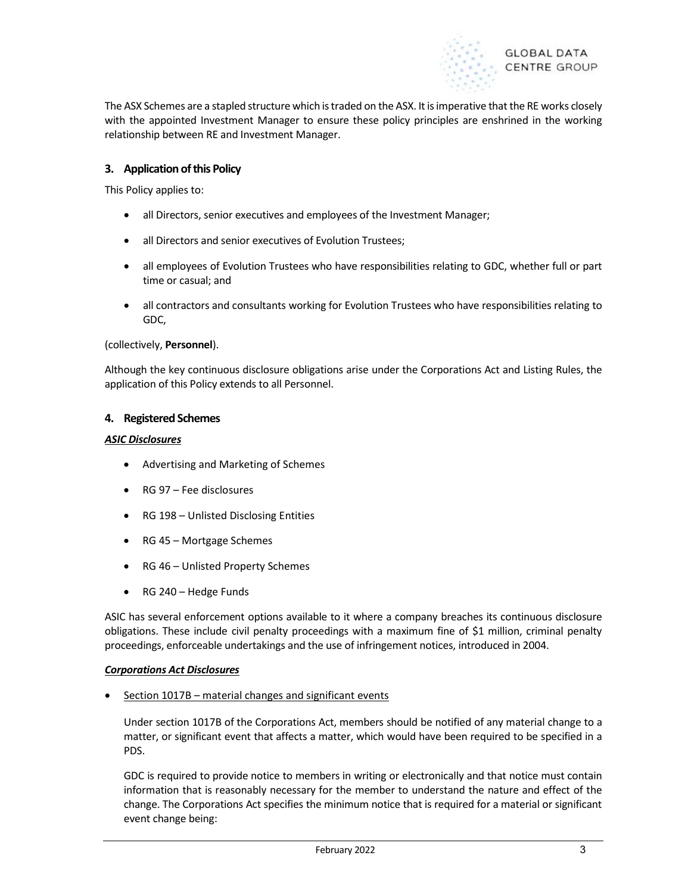

The ASX Schemes are a stapled structure which is traded on the ASX. It is imperative that the RE works closely with the appointed Investment Manager to ensure these policy principles are enshrined in the working relationship between RE and Investment Manager.

# 3. Application of this Policy

This Policy applies to:

- all Directors, senior executives and employees of the Investment Manager;
- all Directors and senior executives of Evolution Trustees;
- all employees of Evolution Trustees who have responsibilities relating to GDC, whether full or part time or casual; and
- all contractors and consultants working for Evolution Trustees who have responsibilities relating to GDC,

#### (collectively, Personnel).

Although the key continuous disclosure obligations arise under the Corporations Act and Listing Rules, the application of this Policy extends to all Personnel.

#### 4. Registered Schemes

#### ASIC Disclosures

- Advertising and Marketing of Schemes
- RG 97 Fee disclosures
- RG 198 Unlisted Disclosing Entities
- RG 45 Mortgage Schemes
- RG 46 Unlisted Property Schemes
- RG 240 Hedge Funds

ASIC has several enforcement options available to it where a company breaches its continuous disclosure obligations. These include civil penalty proceedings with a maximum fine of \$1 million, criminal penalty proceedings, enforceable undertakings and the use of infringement notices, introduced in 2004.

#### Corporations Act Disclosures

• Section 1017B – material changes and significant events

Under section 1017B of the Corporations Act, members should be notified of any material change to a matter, or significant event that affects a matter, which would have been required to be specified in a PDS.

GDC is required to provide notice to members in writing or electronically and that notice must contain information that is reasonably necessary for the member to understand the nature and effect of the change. The Corporations Act specifies the minimum notice that is required for a material or significant event change being: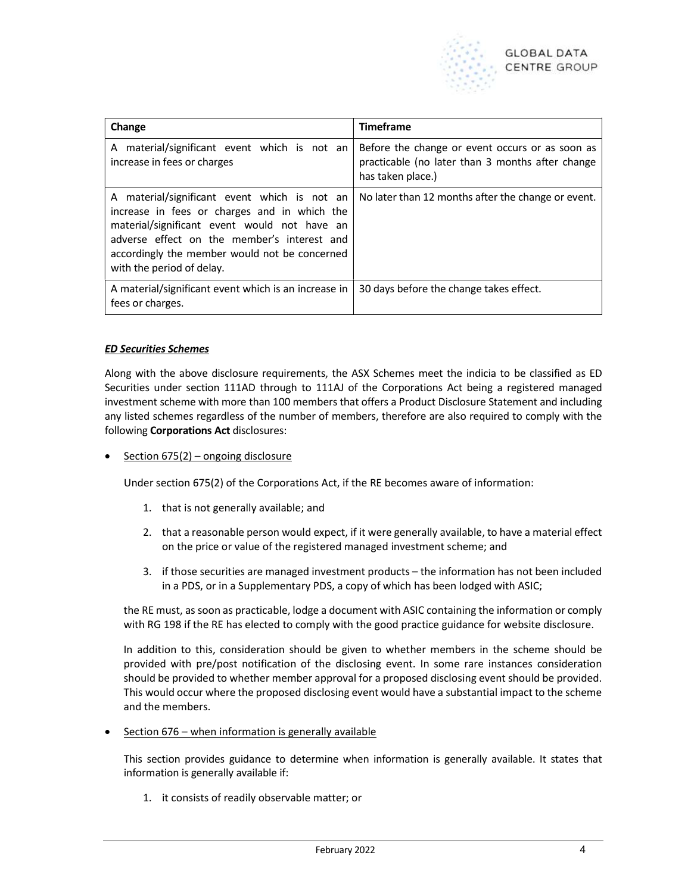

| Change                                                                                                                                                                                                                                                                    | <b>Timeframe</b>                                                                                                         |
|---------------------------------------------------------------------------------------------------------------------------------------------------------------------------------------------------------------------------------------------------------------------------|--------------------------------------------------------------------------------------------------------------------------|
| A material/significant event which is not an<br>increase in fees or charges                                                                                                                                                                                               | Before the change or event occurs or as soon as<br>practicable (no later than 3 months after change<br>has taken place.) |
| A material/significant event which is not an<br>increase in fees or charges and in which the<br>material/significant event would not have an<br>adverse effect on the member's interest and<br>accordingly the member would not be concerned<br>with the period of delay. | No later than 12 months after the change or event.                                                                       |
| A material/significant event which is an increase in<br>fees or charges.                                                                                                                                                                                                  | 30 days before the change takes effect.                                                                                  |

# ED Securities Schemes

Along with the above disclosure requirements, the ASX Schemes meet the indicia to be classified as ED Securities under section 111AD through to 111AJ of the Corporations Act being a registered managed investment scheme with more than 100 members that offers a Product Disclosure Statement and including any listed schemes regardless of the number of members, therefore are also required to comply with the following Corporations Act disclosures:

Section 675(2) – ongoing disclosure

Under section 675(2) of the Corporations Act, if the RE becomes aware of information:

- 1. that is not generally available; and
- 2. that a reasonable person would expect, if it were generally available, to have a material effect on the price or value of the registered managed investment scheme; and
- 3. if those securities are managed investment products the information has not been included in a PDS, or in a Supplementary PDS, a copy of which has been lodged with ASIC;

the RE must, as soon as practicable, lodge a document with ASIC containing the information or comply with RG 198 if the RE has elected to comply with the good practice guidance for website disclosure.

In addition to this, consideration should be given to whether members in the scheme should be provided with pre/post notification of the disclosing event. In some rare instances consideration should be provided to whether member approval for a proposed disclosing event should be provided. This would occur where the proposed disclosing event would have a substantial impact to the scheme and the members.

Section 676 – when information is generally available

This section provides guidance to determine when information is generally available. It states that information is generally available if:

1. it consists of readily observable matter; or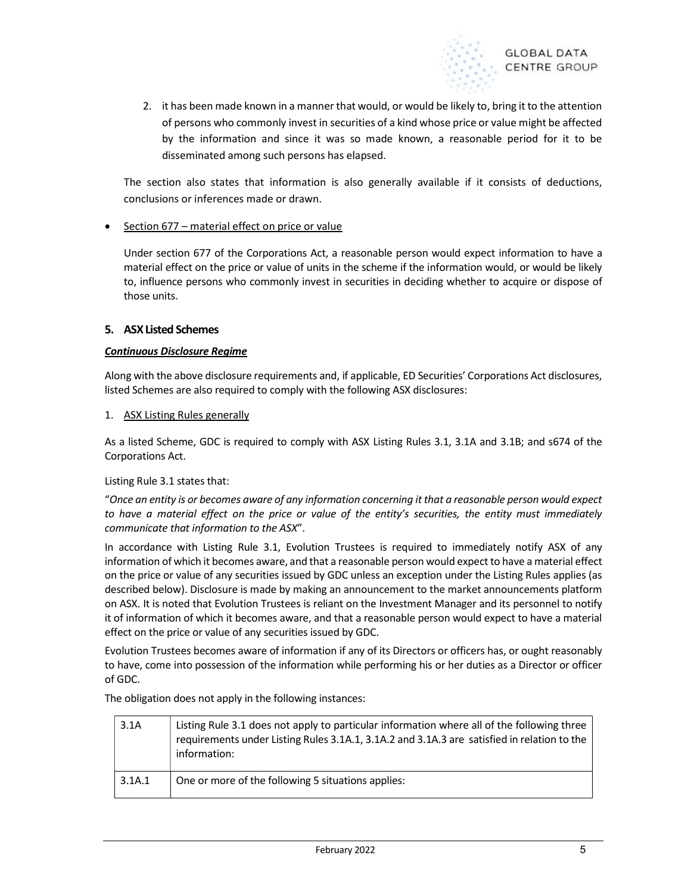

2. it has been made known in a manner that would, or would be likely to, bring it to the attention of persons who commonly invest in securities of a kind whose price or value might be affected by the information and since it was so made known, a reasonable period for it to be disseminated among such persons has elapsed.

The section also states that information is also generally available if it consists of deductions, conclusions or inferences made or drawn.

 $\bullet$  Section 677 – material effect on price or value

Under section 677 of the Corporations Act, a reasonable person would expect information to have a material effect on the price or value of units in the scheme if the information would, or would be likely to, influence persons who commonly invest in securities in deciding whether to acquire or dispose of those units.

# 5. ASX Listed Schemes

# Continuous Disclosure Regime

Along with the above disclosure requirements and, if applicable, ED Securities' Corporations Act disclosures, listed Schemes are also required to comply with the following ASX disclosures:

# 1. ASX Listing Rules generally

As a listed Scheme, GDC is required to comply with ASX Listing Rules 3.1, 3.1A and 3.1B; and s674 of the Corporations Act.

# Listing Rule 3.1 states that:

"Once an entity is or becomes aware of any information concerning it that a reasonable person would expect to have a material effect on the price or value of the entity's securities, the entity must immediately communicate that information to the ASX".

In accordance with Listing Rule 3.1, Evolution Trustees is required to immediately notify ASX of any information of which it becomes aware, and that a reasonable person would expect to have a material effect on the price or value of any securities issued by GDC unless an exception under the Listing Rules applies (as described below). Disclosure is made by making an announcement to the market announcements platform on ASX. It is noted that Evolution Trustees is reliant on the Investment Manager and its personnel to notify it of information of which it becomes aware, and that a reasonable person would expect to have a material effect on the price or value of any securities issued by GDC.

Evolution Trustees becomes aware of information if any of its Directors or officers has, or ought reasonably to have, come into possession of the information while performing his or her duties as a Director or officer of GDC.

The obligation does not apply in the following instances:

| 3.1A   | Listing Rule 3.1 does not apply to particular information where all of the following three<br>requirements under Listing Rules 3.1A.1, 3.1A.2 and 3.1A.3 are satisfied in relation to the<br>information: |
|--------|-----------------------------------------------------------------------------------------------------------------------------------------------------------------------------------------------------------|
| 3.1A.1 | One or more of the following 5 situations applies:                                                                                                                                                        |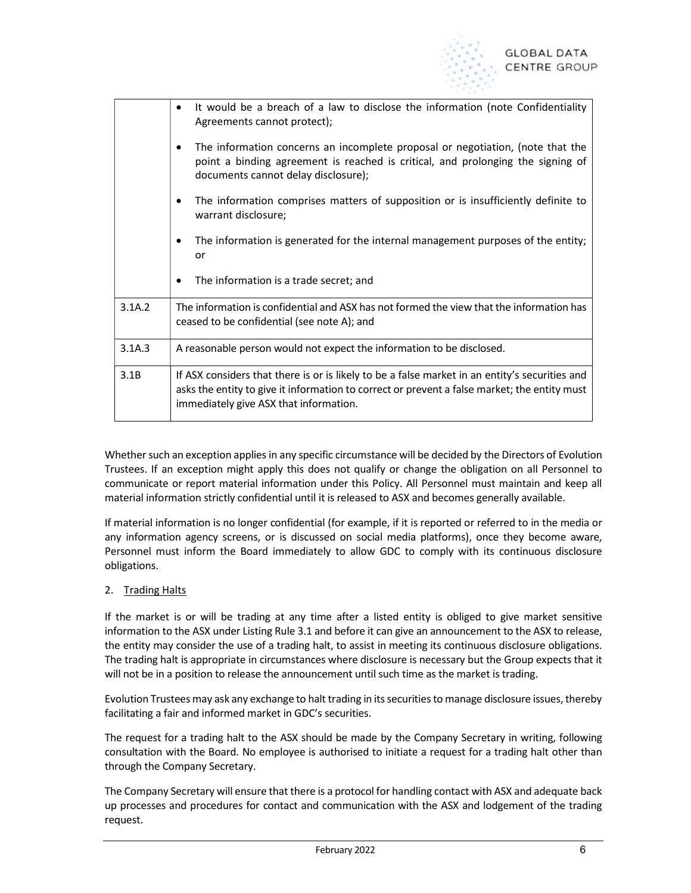

|        | It would be a breach of a law to disclose the information (note Confidentiality<br>$\bullet$<br>Agreements cannot protect);                                                                                                              |  |  |  |  |
|--------|------------------------------------------------------------------------------------------------------------------------------------------------------------------------------------------------------------------------------------------|--|--|--|--|
|        | The information concerns an incomplete proposal or negotiation, (note that the<br>٠<br>point a binding agreement is reached is critical, and prolonging the signing of<br>documents cannot delay disclosure);                            |  |  |  |  |
|        | The information comprises matters of supposition or is insufficiently definite to<br>warrant disclosure;                                                                                                                                 |  |  |  |  |
|        | The information is generated for the internal management purposes of the entity;<br>or                                                                                                                                                   |  |  |  |  |
|        | The information is a trade secret; and<br>$\bullet$                                                                                                                                                                                      |  |  |  |  |
| 3.1A.2 | The information is confidential and ASX has not formed the view that the information has<br>ceased to be confidential (see note A); and                                                                                                  |  |  |  |  |
| 3.1A.3 | A reasonable person would not expect the information to be disclosed.                                                                                                                                                                    |  |  |  |  |
| 3.1B   | If ASX considers that there is or is likely to be a false market in an entity's securities and<br>asks the entity to give it information to correct or prevent a false market; the entity must<br>immediately give ASX that information. |  |  |  |  |

Whether such an exception applies in any specific circumstance will be decided by the Directors of Evolution Trustees. If an exception might apply this does not qualify or change the obligation on all Personnel to communicate or report material information under this Policy. All Personnel must maintain and keep all material information strictly confidential until it is released to ASX and becomes generally available.

If material information is no longer confidential (for example, if it is reported or referred to in the media or any information agency screens, or is discussed on social media platforms), once they become aware, Personnel must inform the Board immediately to allow GDC to comply with its continuous disclosure obligations.

# 2. Trading Halts

If the market is or will be trading at any time after a listed entity is obliged to give market sensitive information to the ASX under Listing Rule 3.1 and before it can give an announcement to the ASX to release, the entity may consider the use of a trading halt, to assist in meeting its continuous disclosure obligations. The trading halt is appropriate in circumstances where disclosure is necessary but the Group expects that it will not be in a position to release the announcement until such time as the market is trading.

Evolution Trustees may ask any exchange to halt trading in its securities to manage disclosure issues, thereby facilitating a fair and informed market in GDC's securities.

The request for a trading halt to the ASX should be made by the Company Secretary in writing, following consultation with the Board. No employee is authorised to initiate a request for a trading halt other than through the Company Secretary.

The Company Secretary will ensure that there is a protocol for handling contact with ASX and adequate back up processes and procedures for contact and communication with the ASX and lodgement of the trading request.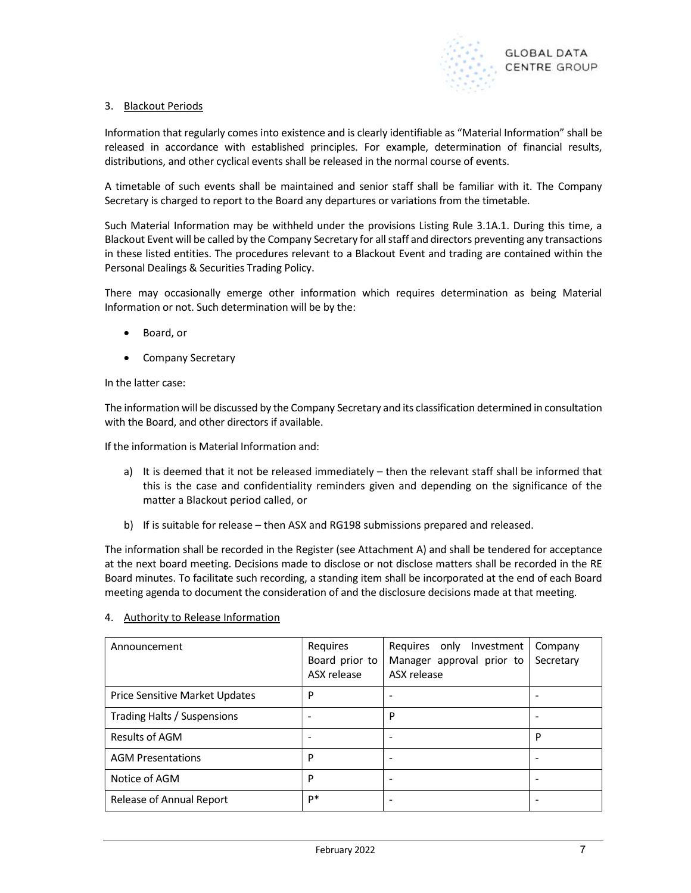

# 3. Blackout Periods

Information that regularly comes into existence and is clearly identifiable as "Material Information" shall be released in accordance with established principles. For example, determination of financial results, distributions, and other cyclical events shall be released in the normal course of events.

A timetable of such events shall be maintained and senior staff shall be familiar with it. The Company Secretary is charged to report to the Board any departures or variations from the timetable.

Such Material Information may be withheld under the provisions Listing Rule 3.1A.1. During this time, a Blackout Event will be called by the Company Secretary for all staff and directors preventing any transactions in these listed entities. The procedures relevant to a Blackout Event and trading are contained within the Personal Dealings & Securities Trading Policy.

There may occasionally emerge other information which requires determination as being Material Information or not. Such determination will be by the:

- Board, or
- Company Secretary

#### In the latter case:

The information will be discussed by the Company Secretary and its classification determined in consultation with the Board, and other directors if available.

If the information is Material Information and:

- a) It is deemed that it not be released immediately then the relevant staff shall be informed that this is the case and confidentiality reminders given and depending on the significance of the matter a Blackout period called, or
- b) If is suitable for release then ASX and RG198 submissions prepared and released.

The information shall be recorded in the Register (see Attachment A) and shall be tendered for acceptance at the next board meeting. Decisions made to disclose or not disclose matters shall be recorded in the RE Board minutes. To facilitate such recording, a standing item shall be incorporated at the end of each Board meeting agenda to document the consideration of and the disclosure decisions made at that meeting.

#### 4. Authority to Release Information

| Announcement                   | Requires<br>Board prior to<br>ASX release | only Investment<br>Requires<br>Manager approval prior to<br>ASX release | Company<br>Secretary |
|--------------------------------|-------------------------------------------|-------------------------------------------------------------------------|----------------------|
| Price Sensitive Market Updates | P                                         |                                                                         |                      |
| Trading Halts / Suspensions    |                                           | P                                                                       |                      |
| Results of AGM                 | $\overline{\phantom{0}}$                  |                                                                         | P                    |
| <b>AGM Presentations</b>       | P                                         |                                                                         |                      |
| Notice of AGM                  | P                                         |                                                                         |                      |
| Release of Annual Report       | p*                                        |                                                                         |                      |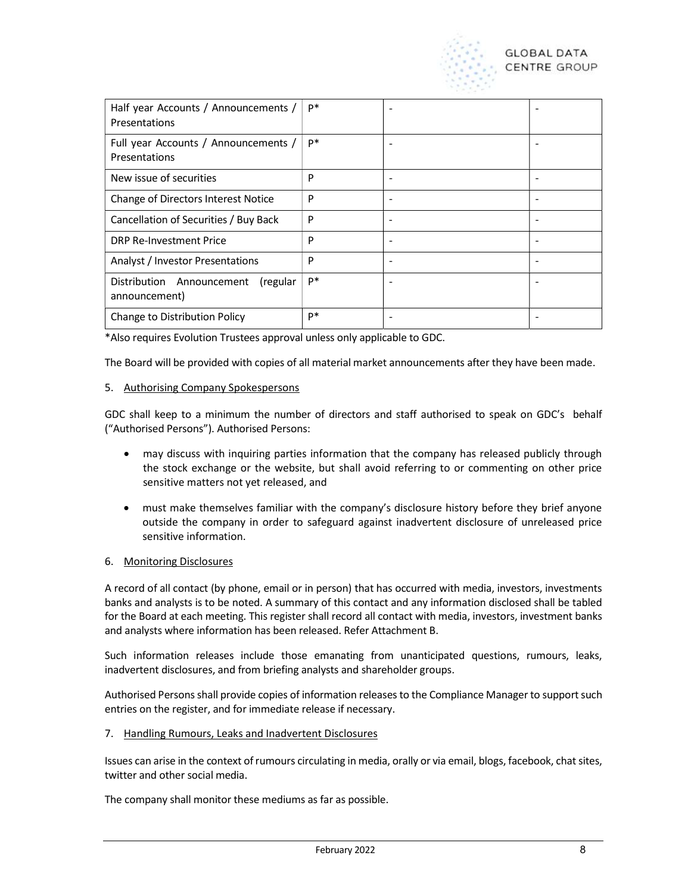

| Half year Accounts / Announcements /<br>Presentations  | p* |  |
|--------------------------------------------------------|----|--|
| Full year Accounts / Announcements /<br>Presentations  | p* |  |
| New issue of securities                                | P  |  |
| Change of Directors Interest Notice                    | P  |  |
| Cancellation of Securities / Buy Back                  | P  |  |
| DRP Re-Investment Price                                | P  |  |
| Analyst / Investor Presentations                       | P  |  |
| Distribution Announcement<br>(regular<br>announcement) | p* |  |
| Change to Distribution Policy                          | p* |  |

\*Also requires Evolution Trustees approval unless only applicable to GDC.

The Board will be provided with copies of all material market announcements after they have been made.

#### 5. Authorising Company Spokespersons

GDC shall keep to a minimum the number of directors and staff authorised to speak on GDC's behalf ("Authorised Persons"). Authorised Persons:

- may discuss with inquiring parties information that the company has released publicly through the stock exchange or the website, but shall avoid referring to or commenting on other price sensitive matters not yet released, and
- must make themselves familiar with the company's disclosure history before they brief anyone outside the company in order to safeguard against inadvertent disclosure of unreleased price sensitive information.

#### 6. Monitoring Disclosures

A record of all contact (by phone, email or in person) that has occurred with media, investors, investments banks and analysts is to be noted. A summary of this contact and any information disclosed shall be tabled for the Board at each meeting. This register shall record all contact with media, investors, investment banks and analysts where information has been released. Refer Attachment B.

Such information releases include those emanating from unanticipated questions, rumours, leaks, inadvertent disclosures, and from briefing analysts and shareholder groups.

Authorised Persons shall provide copies of information releases to the Compliance Manager to support such entries on the register, and for immediate release if necessary.

#### 7. Handling Rumours, Leaks and Inadvertent Disclosures

Issues can arise in the context of rumours circulating in media, orally or via email, blogs, facebook, chat sites, twitter and other social media.

The company shall monitor these mediums as far as possible.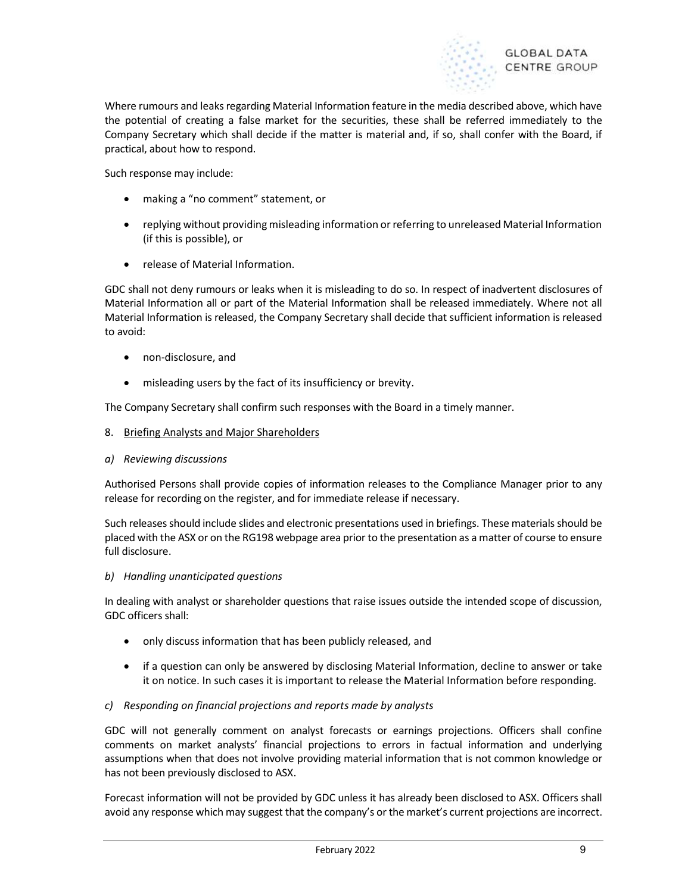

Where rumours and leaks regarding Material Information feature in the media described above, which have the potential of creating a false market for the securities, these shall be referred immediately to the Company Secretary which shall decide if the matter is material and, if so, shall confer with the Board, if practical, about how to respond.

Such response may include:

- making a "no comment" statement, or
- replying without providing misleading information or referring to unreleased Material Information (if this is possible), or
- release of Material Information.

GDC shall not deny rumours or leaks when it is misleading to do so. In respect of inadvertent disclosures of Material Information all or part of the Material Information shall be released immediately. Where not all Material Information is released, the Company Secretary shall decide that sufficient information is released to avoid:

- non-disclosure, and
- misleading users by the fact of its insufficiency or brevity.

The Company Secretary shall confirm such responses with the Board in a timely manner.

- 8. Briefing Analysts and Major Shareholders
- a) Reviewing discussions

Authorised Persons shall provide copies of information releases to the Compliance Manager prior to any release for recording on the register, and for immediate release if necessary.

Such releases should include slides and electronic presentations used in briefings. These materials should be placed with the ASX or on the RG198 webpage area prior to the presentation as a matter of course to ensure full disclosure.

b) Handling unanticipated questions

In dealing with analyst or shareholder questions that raise issues outside the intended scope of discussion, GDC officers shall:

- only discuss information that has been publicly released, and
- if a question can only be answered by disclosing Material Information, decline to answer or take it on notice. In such cases it is important to release the Material Information before responding.

# c) Responding on financial projections and reports made by analysts

GDC will not generally comment on analyst forecasts or earnings projections. Officers shall confine comments on market analysts' financial projections to errors in factual information and underlying assumptions when that does not involve providing material information that is not common knowledge or has not been previously disclosed to ASX.

Forecast information will not be provided by GDC unless it has already been disclosed to ASX. Officers shall avoid any response which may suggest that the company's or the market's current projections are incorrect.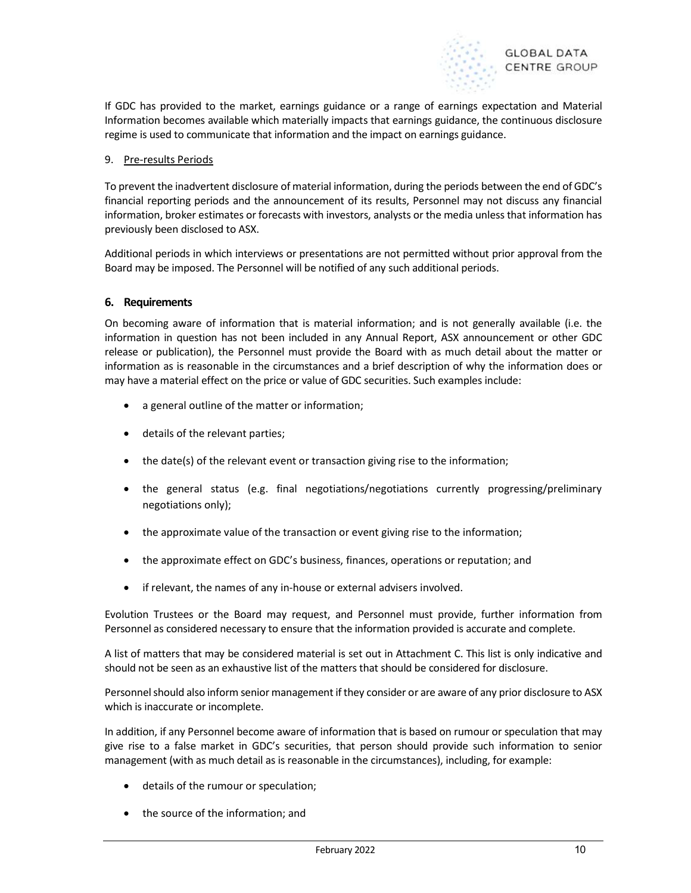

If GDC has provided to the market, earnings guidance or a range of earnings expectation and Material Information becomes available which materially impacts that earnings guidance, the continuous disclosure regime is used to communicate that information and the impact on earnings guidance.

#### 9. Pre-results Periods

To prevent the inadvertent disclosure of material information, during the periods between the end of GDC's financial reporting periods and the announcement of its results, Personnel may not discuss any financial information, broker estimates or forecasts with investors, analysts or the media unless that information has previously been disclosed to ASX.

Additional periods in which interviews or presentations are not permitted without prior approval from the Board may be imposed. The Personnel will be notified of any such additional periods.

#### 6. Requirements

On becoming aware of information that is material information; and is not generally available (i.e. the information in question has not been included in any Annual Report, ASX announcement or other GDC release or publication), the Personnel must provide the Board with as much detail about the matter or information as is reasonable in the circumstances and a brief description of why the information does or may have a material effect on the price or value of GDC securities. Such examples include:

- a general outline of the matter or information;
- details of the relevant parties;
- the date(s) of the relevant event or transaction giving rise to the information;
- the general status (e.g. final negotiations/negotiations currently progressing/preliminary negotiations only);
- the approximate value of the transaction or event giving rise to the information;
- the approximate effect on GDC's business, finances, operations or reputation; and
- if relevant, the names of any in-house or external advisers involved.

Evolution Trustees or the Board may request, and Personnel must provide, further information from Personnel as considered necessary to ensure that the information provided is accurate and complete.

A list of matters that may be considered material is set out in Attachment C. This list is only indicative and should not be seen as an exhaustive list of the matters that should be considered for disclosure.

Personnel should also inform senior management if they consider or are aware of any prior disclosure to ASX which is inaccurate or incomplete.

In addition, if any Personnel become aware of information that is based on rumour or speculation that may give rise to a false market in GDC's securities, that person should provide such information to senior management (with as much detail as is reasonable in the circumstances), including, for example:

- details of the rumour or speculation;
- the source of the information; and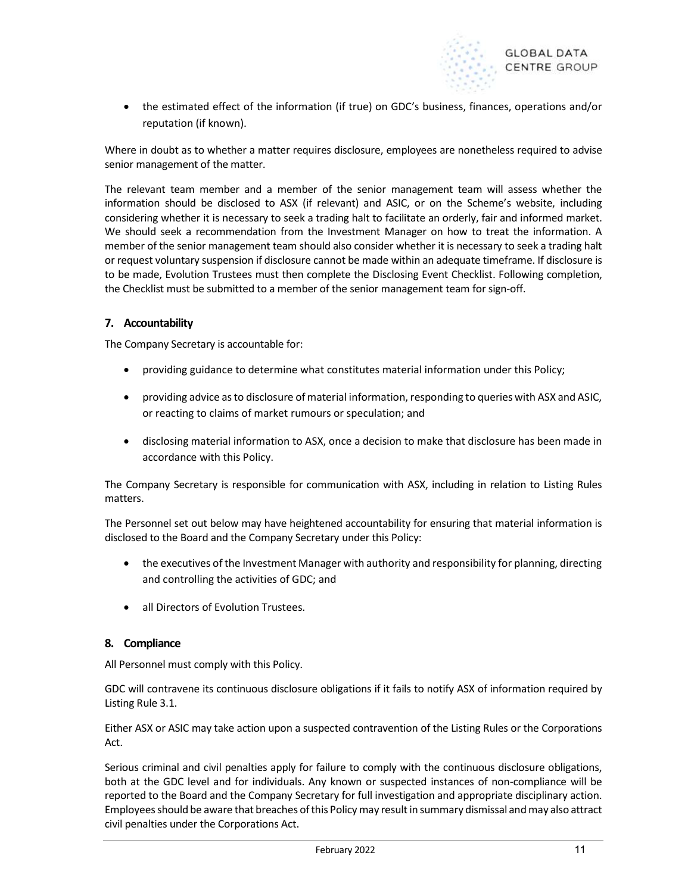

 the estimated effect of the information (if true) on GDC's business, finances, operations and/or reputation (if known).

Where in doubt as to whether a matter requires disclosure, employees are nonetheless required to advise senior management of the matter.

The relevant team member and a member of the senior management team will assess whether the information should be disclosed to ASX (if relevant) and ASIC, or on the Scheme's website, including considering whether it is necessary to seek a trading halt to facilitate an orderly, fair and informed market. We should seek a recommendation from the Investment Manager on how to treat the information. A member of the senior management team should also consider whether it is necessary to seek a trading halt or request voluntary suspension if disclosure cannot be made within an adequate timeframe. If disclosure is to be made, Evolution Trustees must then complete the Disclosing Event Checklist. Following completion, the Checklist must be submitted to a member of the senior management team for sign-off.

# 7. Accountability

The Company Secretary is accountable for:

- providing guidance to determine what constitutes material information under this Policy;
- providing advice as to disclosure of material information, responding to queries with ASX and ASIC, or reacting to claims of market rumours or speculation; and
- disclosing material information to ASX, once a decision to make that disclosure has been made in accordance with this Policy.

The Company Secretary is responsible for communication with ASX, including in relation to Listing Rules matters.

The Personnel set out below may have heightened accountability for ensuring that material information is disclosed to the Board and the Company Secretary under this Policy:

- the executives of the Investment Manager with authority and responsibility for planning, directing and controlling the activities of GDC; and
- all Directors of Evolution Trustees.

# 8. Compliance

All Personnel must comply with this Policy.

GDC will contravene its continuous disclosure obligations if it fails to notify ASX of information required by Listing Rule 3.1.

Either ASX or ASIC may take action upon a suspected contravention of the Listing Rules or the Corporations Act.

Serious criminal and civil penalties apply for failure to comply with the continuous disclosure obligations, both at the GDC level and for individuals. Any known or suspected instances of non-compliance will be reported to the Board and the Company Secretary for full investigation and appropriate disciplinary action. Employees should be aware that breaches of this Policy may result in summary dismissal and may also attract civil penalties under the Corporations Act.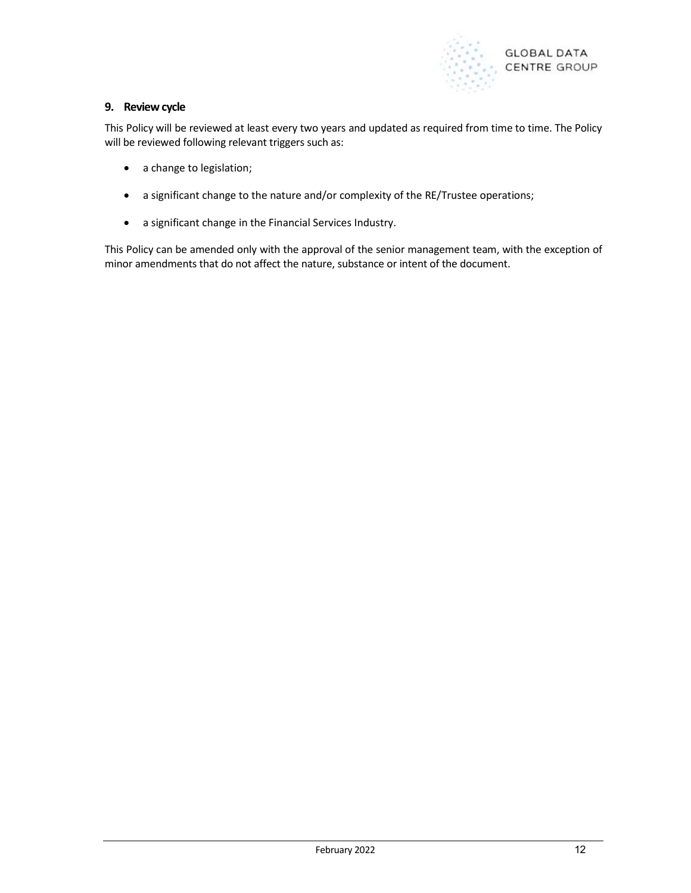

# 9. Review cycle

This Policy will be reviewed at least every two years and updated as required from time to time. The Policy will be reviewed following relevant triggers such as:

- a change to legislation;
- a significant change to the nature and/or complexity of the RE/Trustee operations;
- a significant change in the Financial Services Industry.

This Policy can be amended only with the approval of the senior management team, with the exception of minor amendments that do not affect the nature, substance or intent of the document.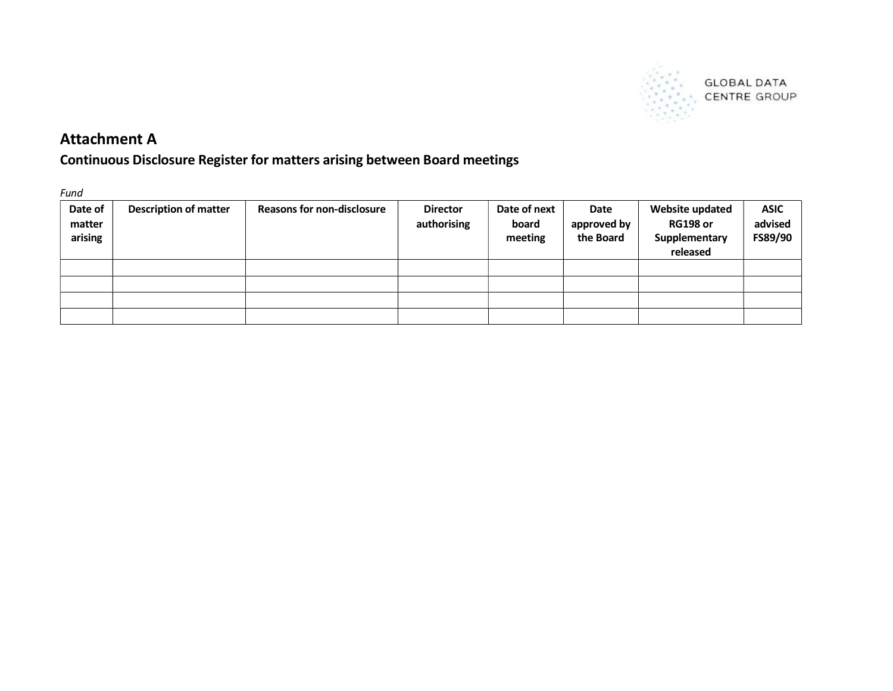

**GLOBAL DATA** SAN GLOBAL DATA

# Attachment A

# Continuous Disclosure Register for matters arising between Board meetings

Fund

| Date of<br>matter<br>arising | <b>Description of matter</b> | <b>Reasons for non-disclosure</b> | <b>Director</b><br>authorising | Date of next<br>board<br>meeting | Date<br>approved by<br>the Board | Website updated<br><b>RG198 or</b><br>Supplementary<br>released | <b>ASIC</b><br>advised<br>FS89/90 |
|------------------------------|------------------------------|-----------------------------------|--------------------------------|----------------------------------|----------------------------------|-----------------------------------------------------------------|-----------------------------------|
|                              |                              |                                   |                                |                                  |                                  |                                                                 |                                   |
|                              |                              |                                   |                                |                                  |                                  |                                                                 |                                   |
|                              |                              |                                   |                                |                                  |                                  |                                                                 |                                   |
|                              |                              |                                   |                                |                                  |                                  |                                                                 |                                   |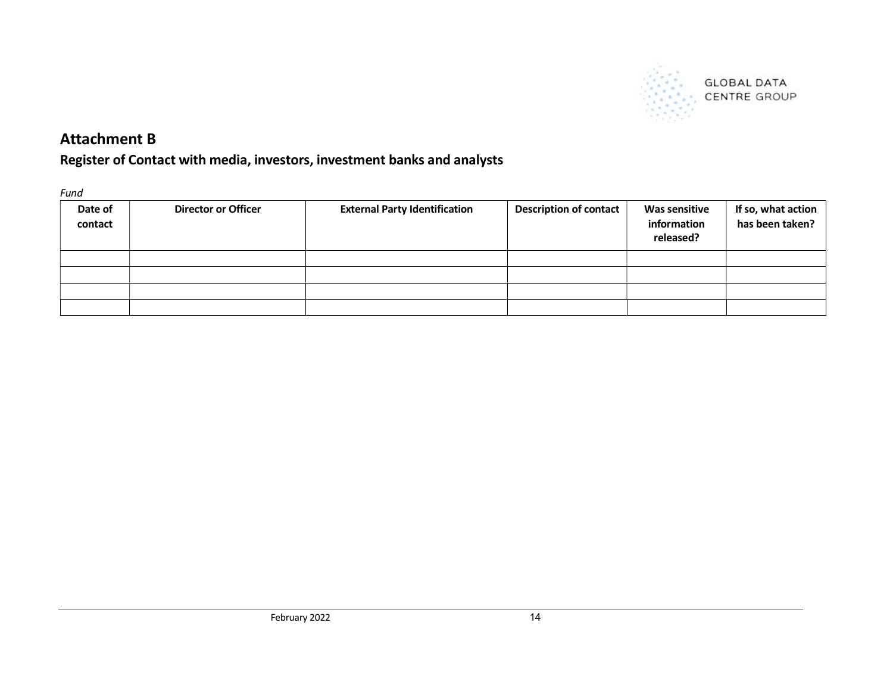

# **GLOBAL DATA** CENTRE GROUP

# Attachment B

Register of Contact with media, investors, investment banks and analysts

Fund

| Date of<br>contact | <b>Director or Officer</b> | <b>External Party Identification</b> | <b>Description of contact</b> | <b>Was sensitive</b><br>information<br>released? | If so, what action<br>has been taken? |
|--------------------|----------------------------|--------------------------------------|-------------------------------|--------------------------------------------------|---------------------------------------|
|                    |                            |                                      |                               |                                                  |                                       |
|                    |                            |                                      |                               |                                                  |                                       |
|                    |                            |                                      |                               |                                                  |                                       |
|                    |                            |                                      |                               |                                                  |                                       |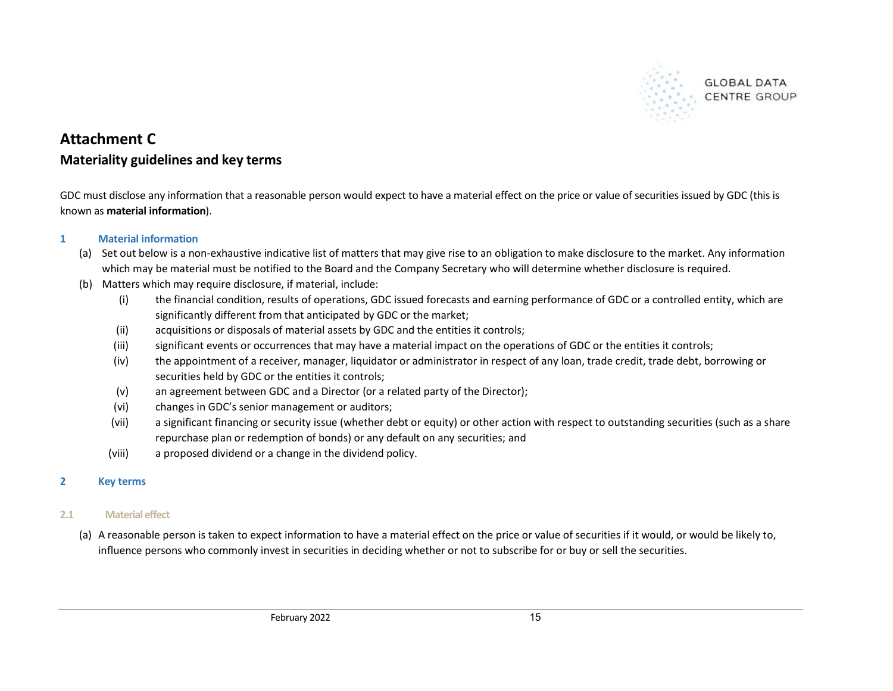

# **GLOBAL DATA CENTRE GROUP**

# Attachment C Materiality guidelines and key terms

GDC must disclose any information that a reasonable person would expect to have a material effect on the price or value of securities issued by GDC (this is known as material information).

# 1 Material information

- (a) Set out below is a non-exhaustive indicative list of matters that may give rise to an obligation to make disclosure to the market. Any information which may be material must be notified to the Board and the Company Secretary who will determine whether disclosure is required.
- (b) Matters which may require disclosure, if material, include:
	- (i) the financial condition, results of operations, GDC issued forecasts and earning performance of GDC or a controlled entity, which are significantly different from that anticipated by GDC or the market;
	- (ii) acquisitions or disposals of material assets by GDC and the entities it controls;
	- (iii) significant events or occurrences that may have a material impact on the operations of GDC or the entities it controls;
	- (iv) the appointment of a receiver, manager, liquidator or administrator in respect of any loan, trade credit, trade debt, borrowing or securities held by GDC or the entities it controls;
	- (v) an agreement between GDC and a Director (or a related party of the Director);
	- (vi) changes in GDC's senior management or auditors;
	- (vii) a significant financing or security issue (whether debt or equity) or other action with respect to outstanding securities (such as a share repurchase plan or redemption of bonds) or any default on any securities; and
	- (viii) a proposed dividend or a change in the dividend policy.

# 2 Key terms

# 2.1 Material effect

(a) A reasonable person is taken to expect information to have a material effect on the price or value of securities if it would, or would be likely to, influence persons who commonly invest in securities in deciding whether or not to subscribe for or buy or sell the securities.